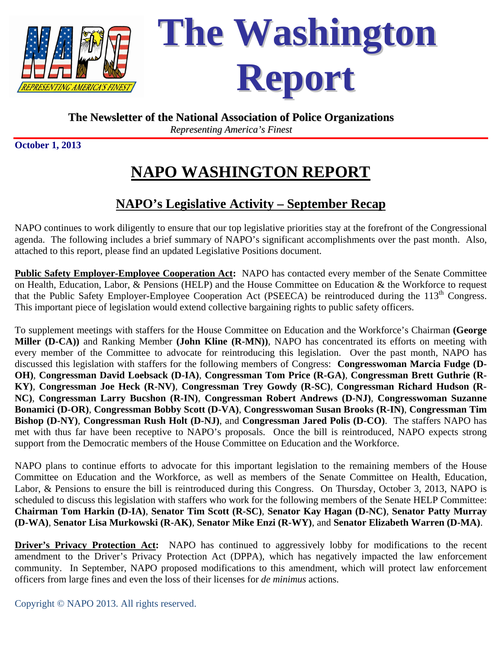

**The Washington Report**

## **The Newsletter of the National Association of Police Organizations**

*Representing America's Finest*

**October 1, 2013** 

## **NAPO WASHINGTON REPORT**

## **NAPO's Legislative Activity – September Recap**

NAPO continues to work diligently to ensure that our top legislative priorities stay at the forefront of the Congressional agenda. The following includes a brief summary of NAPO's significant accomplishments over the past month. Also, attached to this report, please find an updated Legislative Positions document.

**Public Safety Employer-Employee Cooperation Act:** NAPO has contacted every member of the Senate Committee on Health, Education, Labor, & Pensions (HELP) and the House Committee on Education & the Workforce to request that the Public Safety Employer-Employee Cooperation Act (PSEECA) be reintroduced during the  $113<sup>th</sup>$  Congress. This important piece of legislation would extend collective bargaining rights to public safety officers.

To supplement meetings with staffers for the House Committee on Education and the Workforce's Chairman **(George Miller (D-CA))** and Ranking Member **(John Kline (R-MN))**, NAPO has concentrated its efforts on meeting with every member of the Committee to advocate for reintroducing this legislation. Over the past month, NAPO has discussed this legislation with staffers for the following members of Congress: **Congresswoman Marcia Fudge (D-OH)**, **Congressman David Loebsack (D-IA)**, **Congressman Tom Price (R-GA)**, **Congressman Brett Guthrie (R-KY)**, **Congressman Joe Heck (R-NV)**, **Congressman Trey Gowdy (R-SC)**, **Congressman Richard Hudson (R-NC)**, **Congressman Larry Bucshon (R-IN)**, **Congressman Robert Andrews (D-NJ)**, **Congresswoman Suzanne Bonamici (D-OR)**, **Congressman Bobby Scott (D-VA)**, **Congresswoman Susan Brooks (R-IN)**, **Congressman Tim Bishop (D-NY)**, **Congressman Rush Holt (D-NJ)**, and **Congressman Jared Polis (D-CO)**. The staffers NAPO has met with thus far have been receptive to NAPO's proposals. Once the bill is reintroduced, NAPO expects strong support from the Democratic members of the House Committee on Education and the Workforce.

NAPO plans to continue efforts to advocate for this important legislation to the remaining members of the House Committee on Education and the Workforce, as well as members of the Senate Committee on Health, Education, Labor, & Pensions to ensure the bill is reintroduced during this Congress. On Thursday, October 3, 2013, NAPO is scheduled to discuss this legislation with staffers who work for the following members of the Senate HELP Committee: **Chairman Tom Harkin (D-IA)**, **Senator Tim Scott (R-SC)**, **Senator Kay Hagan (D-NC)**, **Senator Patty Murray (D-WA)**, **Senator Lisa Murkowski (R-AK)**, **Senator Mike Enzi (R-WY)**, and **Senator Elizabeth Warren (D-MA)**.

**Driver's Privacy Protection Act:** NAPO has continued to aggressively lobby for modifications to the recent amendment to the Driver's Privacy Protection Act (DPPA), which has negatively impacted the law enforcement community. In September, NAPO proposed modifications to this amendment, which will protect law enforcement officers from large fines and even the loss of their licenses for *de minimus* actions.

Copyright © NAPO 2013. All rights reserved.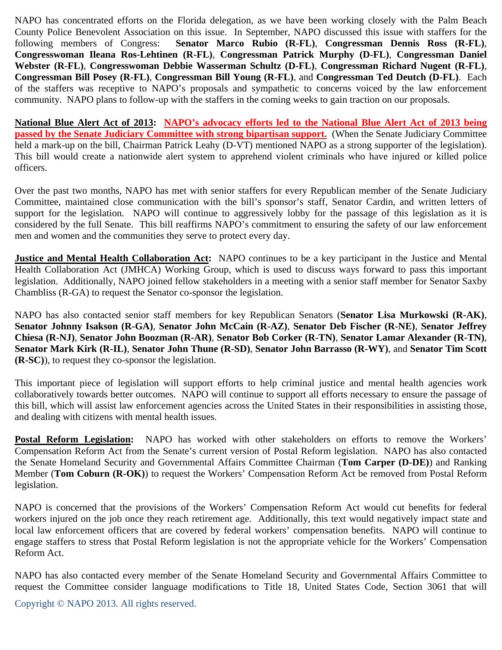NAPO has concentrated efforts on the Florida delegation, as we have been working closely with the Palm Beach County Police Benevolent Association on this issue. In September, NAPO discussed this issue with staffers for the following members of Congress: **Senator Marco Rubio (R-FL)**, **Congressman Dennis Ross (R-FL)**, **Congresswoman Ileana Ros-Lehtinen (R-FL)**, **Congressman Patrick Murphy (D-FL)**, **Congressman Daniel Webster (R-FL)**, **Congresswoman Debbie Wasserman Schultz (D-FL)**, **Congressman Richard Nugent (R-FL)**, **Congressman Bill Posey (R-FL)**, **Congressman Bill Young (R-FL)**, and **Congressman Ted Deutch (D-FL)**. Each of the staffers was receptive to NAPO's proposals and sympathetic to concerns voiced by the law enforcement community. NAPO plans to follow-up with the staffers in the coming weeks to gain traction on our proposals.

**National Blue Alert Act of 2013: NAPO's advocacy efforts led to the National Blue Alert Act of 2013 being passed by the Senate Judiciary Committee with strong bipartisan support.** (When the Senate Judiciary Committee held a mark-up on the bill, Chairman Patrick Leahy (D-VT) mentioned NAPO as a strong supporter of the legislation). This bill would create a nationwide alert system to apprehend violent criminals who have injured or killed police officers.

Over the past two months, NAPO has met with senior staffers for every Republican member of the Senate Judiciary Committee, maintained close communication with the bill's sponsor's staff, Senator Cardin, and written letters of support for the legislation. NAPO will continue to aggressively lobby for the passage of this legislation as it is considered by the full Senate. This bill reaffirms NAPO's commitment to ensuring the safety of our law enforcement men and women and the communities they serve to protect every day.

**Justice and Mental Health Collaboration Act:** NAPO continues to be a key participant in the Justice and Mental Health Collaboration Act (JMHCA) Working Group, which is used to discuss ways forward to pass this important legislation. Additionally, NAPO joined fellow stakeholders in a meeting with a senior staff member for Senator Saxby Chambliss (R-GA) to request the Senator co-sponsor the legislation.

NAPO has also contacted senior staff members for key Republican Senators (**Senator Lisa Murkowski (R-AK)**, **Senator Johnny Isakson (R-GA)**, **Senator John McCain (R-AZ)**, **Senator Deb Fischer (R-NE)**, **Senator Jeffrey Chiesa (R-NJ)**, **Senator John Boozman (R-AR)**, **Senator Bob Corker (R-TN)**, **Senator Lamar Alexander (R-TN)**, **Senator Mark Kirk (R-IL)**, **Senator John Thune (R-SD)**, **Senator John Barrasso (R-WY)**, and **Senator Tim Scott (R-SC)**), to request they co-sponsor the legislation.

This important piece of legislation will support efforts to help criminal justice and mental health agencies work collaboratively towards better outcomes. NAPO will continue to support all efforts necessary to ensure the passage of this bill, which will assist law enforcement agencies across the United States in their responsibilities in assisting those, and dealing with citizens with mental health issues.

**Postal Reform Legislation:** NAPO has worked with other stakeholders on efforts to remove the Workers' Compensation Reform Act from the Senate's current version of Postal Reform legislation. NAPO has also contacted the Senate Homeland Security and Governmental Affairs Committee Chairman (**Tom Carper (D-DE)**) and Ranking Member (**Tom Coburn (R-OK)**) to request the Workers' Compensation Reform Act be removed from Postal Reform legislation.

NAPO is concerned that the provisions of the Workers' Compensation Reform Act would cut benefits for federal workers injured on the job once they reach retirement age. Additionally, this text would negatively impact state and local law enforcement officers that are covered by federal workers' compensation benefits. NAPO will continue to engage staffers to stress that Postal Reform legislation is not the appropriate vehicle for the Workers' Compensation Reform Act.

NAPO has also contacted every member of the Senate Homeland Security and Governmental Affairs Committee to request the Committee consider language modifications to Title 18, United States Code, Section 3061 that will

Copyright © NAPO 2013. All rights reserved.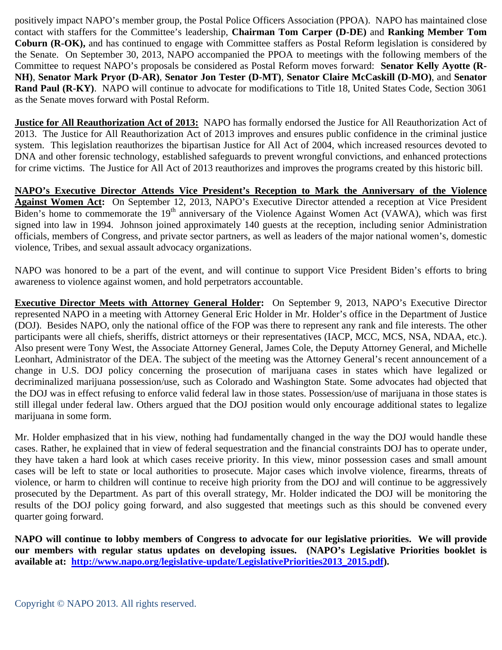positively impact NAPO's member group, the Postal Police Officers Association (PPOA). NAPO has maintained close contact with staffers for the Committee's leadership, **Chairman Tom Carper (D-DE)** and **Ranking Member Tom Coburn (R-OK),** and has continued to engage with Committee staffers as Postal Reform legislation is considered by the Senate. On September 30, 2013, NAPO accompanied the PPOA to meetings with the following members of the Committee to request NAPO's proposals be considered as Postal Reform moves forward: **Senator Kelly Ayotte (R-NH)**, **Senator Mark Pryor (D-AR)**, **Senator Jon Tester (D-MT)**, **Senator Claire McCaskill (D-MO)**, and **Senator Rand Paul (R-KY)**. NAPO will continue to advocate for modifications to Title 18, United States Code, Section 3061 as the Senate moves forward with Postal Reform.

**Justice for All Reauthorization Act of 2013:** NAPO has formally endorsed the Justice for All Reauthorization Act of 2013. The Justice for All Reauthorization Act of 2013 improves and ensures public confidence in the criminal justice system. This legislation reauthorizes the bipartisan Justice for All Act of 2004, which increased resources devoted to DNA and other forensic technology, established safeguards to prevent wrongful convictions, and enhanced protections for crime victims. The Justice for All Act of 2013 reauthorizes and improves the programs created by this historic bill.

**NAPO's Executive Director Attends Vice President's Reception to Mark the Anniversary of the Violence Against Women Act:** On September 12, 2013, NAPO's Executive Director attended a reception at Vice President Biden's home to commemorate the 19<sup>th</sup> anniversary of the Violence Against Women Act (VAWA), which was first signed into law in 1994. Johnson joined approximately 140 guests at the reception, including senior Administration officials, members of Congress, and private sector partners, as well as leaders of the major national women's, domestic violence, Tribes, and sexual assault advocacy organizations.

NAPO was honored to be a part of the event, and will continue to support Vice President Biden's efforts to bring awareness to violence against women, and hold perpetrators accountable.

**Executive Director Meets with Attorney General Holder:** On September 9, 2013, NAPO's Executive Director represented NAPO in a meeting with Attorney General Eric Holder in Mr. Holder's office in the Department of Justice (DOJ). Besides NAPO, only the national office of the FOP was there to represent any rank and file interests. The other participants were all chiefs, sheriffs, district attorneys or their representatives (IACP, MCC, MCS, NSA, NDAA, etc.). Also present were Tony West, the Associate Attorney General, James Cole, the Deputy Attorney General, and Michelle Leonhart, Administrator of the DEA. The subject of the meeting was the Attorney General's recent announcement of a change in U.S. DOJ policy concerning the prosecution of marijuana cases in states which have legalized or decriminalized marijuana possession/use, such as Colorado and Washington State. Some advocates had objected that the DOJ was in effect refusing to enforce valid federal law in those states. Possession/use of marijuana in those states is still illegal under federal law. Others argued that the DOJ position would only encourage additional states to legalize marijuana in some form.

Mr. Holder emphasized that in his view, nothing had fundamentally changed in the way the DOJ would handle these cases. Rather, he explained that in view of federal sequestration and the financial constraints DOJ has to operate under, they have taken a hard look at which cases receive priority. In this view, minor possession cases and small amount cases will be left to state or local authorities to prosecute. Major cases which involve violence, firearms, threats of violence, or harm to children will continue to receive high priority from the DOJ and will continue to be aggressively prosecuted by the Department. As part of this overall strategy, Mr. Holder indicated the DOJ will be monitoring the results of the DOJ policy going forward, and also suggested that meetings such as this should be convened every quarter going forward.

**NAPO will continue to lobby members of Congress to advocate for our legislative priorities. We will provide our members with regular status updates on developing issues. (NAPO's Legislative Priorities booklet is available at: http://www.napo.org/legislative-update/LegislativePriorities2013\_2015.pdf).**